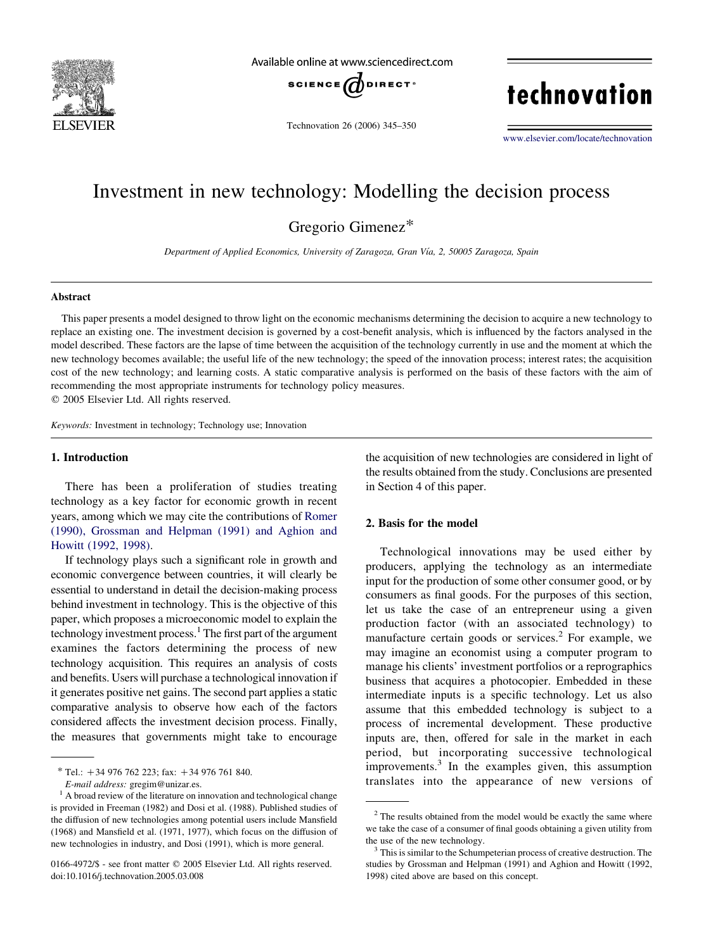

Available online at www.sciencedirect.com



Technovation 26 (2006) 345–350

technovation

[www.elsevier.com/locate/technovation](http://www.elsevier.com/locate/technovation)

## Investment in new technology: Modelling the decision process

Gregorio Gimenez\*

Department of Applied Economics, University of Zaragoza, Gran Vía, 2, 50005 Zaragoza, Spain

#### Abstract

This paper presents a model designed to throw light on the economic mechanisms determining the decision to acquire a new technology to replace an existing one. The investment decision is governed by a cost-benefit analysis, which is influenced by the factors analysed in the model described. These factors are the lapse of time between the acquisition of the technology currently in use and the moment at which the new technology becomes available; the useful life of the new technology; the speed of the innovation process; interest rates; the acquisition cost of the new technology; and learning costs. A static comparative analysis is performed on the basis of these factors with the aim of recommending the most appropriate instruments for technology policy measures.  $Q$  2005 Elsevier Ltd. All rights reserved.

Keywords: Investment in technology; Technology use; Innovation

#### 1. Introduction

There has been a proliferation of studies treating technology as a key factor for economic growth in recent years, among which we may cite the contributions of [Romer](#page--1-0) [\(1990\), Grossman and Helpman \(1991\) and Aghion and](#page--1-0) [Howitt \(1992, 1998\)](#page--1-0).

If technology plays such a significant role in growth and economic convergence between countries, it will clearly be essential to understand in detail the decision-making process behind investment in technology. This is the objective of this paper, which proposes a microeconomic model to explain the technology investment process. $<sup>1</sup>$  The first part of the argument</sup> examines the factors determining the process of new technology acquisition. This requires an analysis of costs and benefits. Users will purchase a technological innovation if it generates positive net gains. The second part applies a static comparative analysis to observe how each of the factors considered affects the investment decision process. Finally, the measures that governments might take to encourage

 $*$  Tel.: +34 976 762 223; fax: +34 976 761 840.

the acquisition of new technologies are considered in light of the results obtained from the study. Conclusions are presented in Section 4 of this paper.

### 2. Basis for the model

Technological innovations may be used either by producers, applying the technology as an intermediate input for the production of some other consumer good, or by consumers as final goods. For the purposes of this section, let us take the case of an entrepreneur using a given production factor (with an associated technology) to manufacture certain goods or services. $<sup>2</sup>$  For example, we</sup> may imagine an economist using a computer program to manage his clients' investment portfolios or a reprographics business that acquires a photocopier. Embedded in these intermediate inputs is a specific technology. Let us also assume that this embedded technology is subject to a process of incremental development. These productive inputs are, then, offered for sale in the market in each period, but incorporating successive technological improvements.<sup>3</sup> In the examples given, this assumption translates into the appearance of new versions of

E-mail address: gregim@unizar.es.  $1$  A broad review of the literature on innovation and technological change is provided in Freeman (1982) and Dosi et al. (1988). Published studies of the diffusion of new technologies among potential users include Mansfield (1968) and Mansfield et al. (1971, 1977), which focus on the diffusion of new technologies in industry, and Dosi (1991), which is more general.

<sup>0166-4972/\$ -</sup> see front matter © 2005 Elsevier Ltd. All rights reserved. doi:10.1016/j.technovation.2005.03.008

<sup>&</sup>lt;sup>2</sup> The results obtained from the model would be exactly the same where we take the case of a consumer of final goods obtaining a given utility from the use of the new technology.<br> $3$  This is similar to the Schumpeterian process of creative destruction. The

studies by Grossman and Helpman (1991) and Aghion and Howitt (1992, 1998) cited above are based on this concept.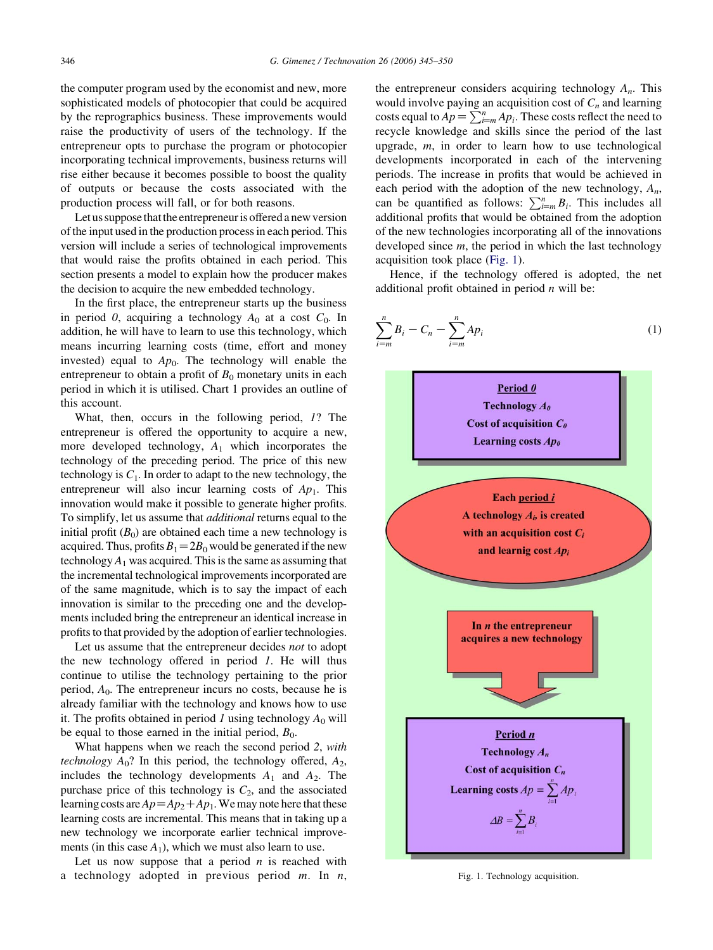$\stackrel{n}{\longrightarrow}$ 

 $B_i - C_n - \sum_{i=1}^{n}$ 

the computer program used by the economist and new, more sophisticated models of photocopier that could be acquired by the reprographics business. These improvements would raise the productivity of users of the technology. If the entrepreneur opts to purchase the program or photocopier incorporating technical improvements, business returns will rise either because it becomes possible to boost the quality of outputs or because the costs associated with the production process will fall, or for both reasons.

Let us suppose that the entrepreneur is offered a new version of the input used in the production process in each period. This version will include a series of technological improvements that would raise the profits obtained in each period. This section presents a model to explain how the producer makes the decision to acquire the new embedded technology.

In the first place, the entrepreneur starts up the business in period 0, acquiring a technology  $A_0$  at a cost  $C_0$ . In addition, he will have to learn to use this technology, which means incurring learning costs (time, effort and money invested) equal to  $Ap_0$ . The technology will enable the entrepreneur to obtain a profit of  $B_0$  monetary units in each period in which it is utilised. Chart 1 provides an outline of this account.

What, then, occurs in the following period, 1? The entrepreneur is offered the opportunity to acquire a new, more developed technology,  $A_1$  which incorporates the technology of the preceding period. The price of this new technology is  $C_1$ . In order to adapt to the new technology, the entrepreneur will also incur learning costs of  $Ap<sub>1</sub>$ . This innovation would make it possible to generate higher profits. To simplify, let us assume that additional returns equal to the initial profit  $(B_0)$  are obtained each time a new technology is acquired. Thus, profits  $B_1=2B_0$  would be generated if the new technology  $A_1$  was acquired. This is the same as assuming that the incremental technological improvements incorporated are of the same magnitude, which is to say the impact of each innovation is similar to the preceding one and the developments included bring the entrepreneur an identical increase in profits to that provided by the adoption of earlier technologies.

Let us assume that the entrepreneur decides not to adopt the new technology offered in period  $1$ . He will thus continue to utilise the technology pertaining to the prior period,  $A_0$ . The entrepreneur incurs no costs, because he is already familiar with the technology and knows how to use it. The profits obtained in period 1 using technology  $A_0$  will be equal to those earned in the initial period,  $B_0$ .

What happens when we reach the second period 2, with technology  $A_0$ ? In this period, the technology offered,  $A_2$ , includes the technology developments  $A_1$  and  $A_2$ . The purchase price of this technology is  $C_2$ , and the associated learning costs are  $Ap = Ap_2 + Ap_1$ . We may note here that these learning costs are incremental. This means that in taking up a new technology we incorporate earlier technical improvements (in this case  $A_1$ ), which we must also learn to use.

Let us now suppose that a period  $n$  is reached with a technology adopted in previous period  $m$ . In  $n$ , the entrepreneur considers acquiring technology  $A_n$ . This would involve paying an acquisition cost of  $C_n$  and learning costs equal to  $Ap = \sum_{i=m}^{n} Ap_i$ . These costs reflect the need to recycle knowledge and skills since the period of the last upgrade,  $m$ , in order to learn how to use technological developments incorporated in each of the intervening periods. The increase in profits that would be achieved in each period with the adoption of the new technology,  $A_n$ , can be quantified as follows:  $\sum_{i=m}^{n} B_i$ . This includes all additional profits that would be obtained from the adoption of the new technologies incorporating all of the innovations developed since  $m$ , the period in which the last technology acquisition took place (Fig. 1).

Hence, if the technology offered is adopted, the net additional profit obtained in period  $n$  will be:

 $Ap_i$  (1)



Fig. 1. Technology acquisition.